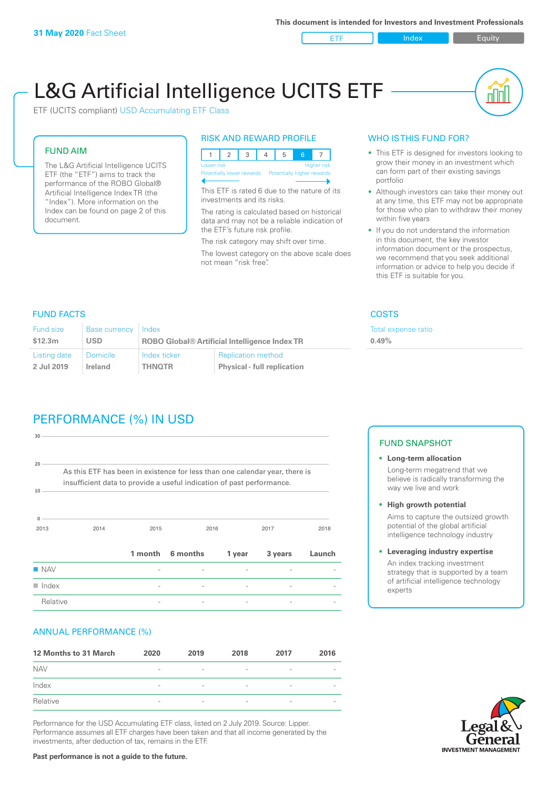ETF Index Requity

nl M

# L&G Artificial Intelligence UCITS ETF

ETF (UCITS compliant) USD Accumulating ETF Class

# FUND AIM

The L&G Artificial Intelligence UCITS ETF (the "ETF") aims to track the performance of the ROBO Global® Artificial Intelligence Index TR (the "Index"). More information on the Index can be found on page 2 of this document.

# RISK AND REWARD PROFILE



This ETF is rated 6 due to the nature of its investments and its risks.

The rating is calculated based on historical data and may not be a reliable indication of the ETF's future risk profile.

The risk category may shift over time. The lowest category on the above scale does not mean "risk free".

# WHO IS THIS FUND FOR?

- This ETF is designed for investors looking to grow their money in an investment which can form part of their existing savings portfolio
- Although investors can take their money out at any time, this ETF may not be appropriate for those who plan to withdraw their money within five years
- If you do not understand the information in this document, the key investor information document or the prospectus, we recommend that you seek additional information or advice to help you decide if this ETF is suitable for you.

**0.49%**

Total expense ratio

FUND FACTS COSTS

| Fund size    | Base currency   | Index                                                |                                    |  |
|--------------|-----------------|------------------------------------------------------|------------------------------------|--|
| \$12.3m      | <b>USD</b>      | <b>ROBO Global® Artificial Intelligence Index TR</b> |                                    |  |
| Listing date | <b>Domicile</b> | Index ticker                                         | <b>Replication method</b>          |  |
| 2 Jul 2019   | Ireland         | <b>THNOTR</b>                                        | <b>Physical - full replication</b> |  |

# PERFORMANCE (%) IN USD

| $30 -$                                                                                                                                                                  |      |      |                  |        |         |        |  |
|-------------------------------------------------------------------------------------------------------------------------------------------------------------------------|------|------|------------------|--------|---------|--------|--|
| 20 <sup>1</sup><br>As this ETF has been in existence for less than one calendar year, there is<br>insufficient data to provide a useful indication of past performance. |      |      |                  |        |         |        |  |
| 10                                                                                                                                                                      |      |      |                  |        |         |        |  |
| $\Omega$<br>2013                                                                                                                                                        | 2014 | 2015 |                  | 2016   | 2017    | 2018   |  |
|                                                                                                                                                                         |      |      | 1 month 6 months | 1 year | 3 years | Launch |  |
| <b>NAV</b>                                                                                                                                                              |      |      |                  |        |         |        |  |
| $\blacksquare$ Index                                                                                                                                                    |      |      |                  |        |         |        |  |
| Relative                                                                                                                                                                |      |      |                  |        |         |        |  |

# ANNUAL PERFORMANCE (%)

| 12 Months to 31 March | 2020                     | 2019                     | 2018                     | 2017                     | 2016                     |
|-----------------------|--------------------------|--------------------------|--------------------------|--------------------------|--------------------------|
| <b>NAV</b>            | $\overline{\phantom{a}}$ | $\sim$                   | $\overline{\phantom{a}}$ | $\qquad \qquad$          | $\overline{\phantom{a}}$ |
| Index                 | $\qquad \qquad$          | $\qquad \qquad$          | $\overline{\phantom{a}}$ | $\qquad \qquad$          | $\overline{\phantom{a}}$ |
| Relative              | $\overline{\phantom{a}}$ | $\overline{\phantom{a}}$ | $\overline{\phantom{a}}$ | $\overline{\phantom{0}}$ | $\overline{\phantom{a}}$ |

Performance for the USD Accumulating ETF class, listed on 2 July 2019. Source: Lipper. Performance assumes all ETF charges have been taken and that all income generated by the investments, after deduction of tax, remains in the ETF.

# FUND SNAPSHOT

- **• Long-term allocation** Long-term megatrend that we believe is radically transforming the way we live and work
- **• High growth potential** Aims to capture the outsized growth potential of the global artificial intelligence technology industry
- **• Leveraging industry expertise** An index tracking investment strategy that is supported by a team of artificial intelligence technology experts



**Past performance is not a guide to the future.**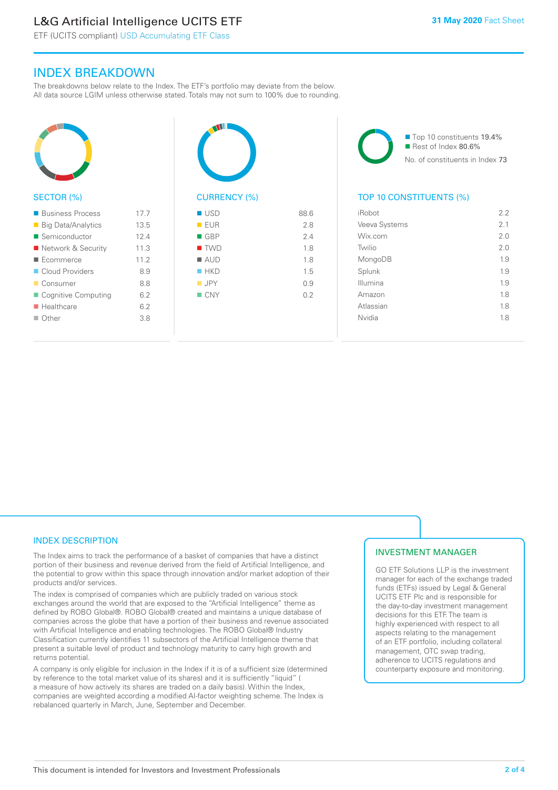# L&G Artificial Intelligence UCITS ETF

ETF (UCITS compliant) USD Accumulating ETF Class

# INDEX BREAKDOWN

The breakdowns below relate to the Index. The ETF's portfolio may deviate from the below. All data source LGIM unless otherwise stated. Totals may not sum to 100% due to rounding.



# SECTOR (%)

| <b>Business Process</b>   | 17.7 |
|---------------------------|------|
| <b>Big Data/Analytics</b> | 13.5 |
| Semiconductor             | 12.4 |
| ■ Network & Security      | 11.3 |
| ■ Ecommerce               | 112  |
| Cloud Providers           | 8.9  |
| ■ Consumer                | 8.8  |
| ■ Cognitive Computing     | 62   |
| $\blacksquare$ Healthcare | 62   |
| $\Box$ Other              | 3.8  |
|                           |      |



| ■ USD              | 88.6 |
|--------------------|------|
| EUR                | 2.8  |
| $\blacksquare$ GBP | 2.4  |
| $\blacksquare$ TWD | 1.8  |
| $\blacksquare$ AUD | 1.8  |
| HKD                | 1.5  |
| $\blacksquare$ JPY | 0.9  |
| $\Box$ CNY         | 0.2  |
|                    |      |
|                    |      |

■ Top 10 constituents 19.4% Rest of Index 80.6% No. of constituents in Index 73

# TOP 10 CONSTITUENTS (%)

| iRobot        | 2.2 |
|---------------|-----|
| Veeva Systems | 21  |
| Wix.com       | 2.0 |
| Twilio        | 2.0 |
| MongoDB       | 1.9 |
| Splunk        | 1.9 |
| Illumina      | 1.9 |
| Amazon        | 1.8 |
| Atlassian     | 1.8 |
| Nvidia        | 1.8 |
|               |     |

# INDEX DESCRIPTION

The Index aims to track the performance of a basket of companies that have a distinct portion of their business and revenue derived from the field of Artificial Intelligence, and the potential to grow within this space through innovation and/or market adoption of their products and/or services.

The index is comprised of companies which are publicly traded on various stock exchanges around the world that are exposed to the "Artificial Intelligence" theme as defined by ROBO Global®. ROBO Global® created and maintains a unique database of companies across the globe that have a portion of their business and revenue associated with Artificial Intelligence and enabling technologies. The ROBO Global® Industry Classification currently identifies 11 subsectors of the Artificial Intelligence theme that present a suitable level of product and technology maturity to carry high growth and returns potential.

A company is only eligible for inclusion in the Index if it is of a sufficient size (determined by reference to the total market value of its shares) and it is sufficiently "liquid" ( a measure of how actively its shares are traded on a daily basis). Within the Index, companies are weighted according a modified AI-factor weighting scheme. The Index is rebalanced quarterly in March, June, September and December.

# INVESTMENT MANAGER

GO ETF Solutions LLP is the investment manager for each of the exchange traded funds (ETFs) issued by Legal & General UCITS ETF Plc and is responsible for the day-to-day investment management decisions for this ETF. The team is highly experienced with respect to all aspects relating to the management of an ETF portfolio, including collateral management, OTC swap trading, adherence to UCITS regulations and counterparty exposure and monitoring.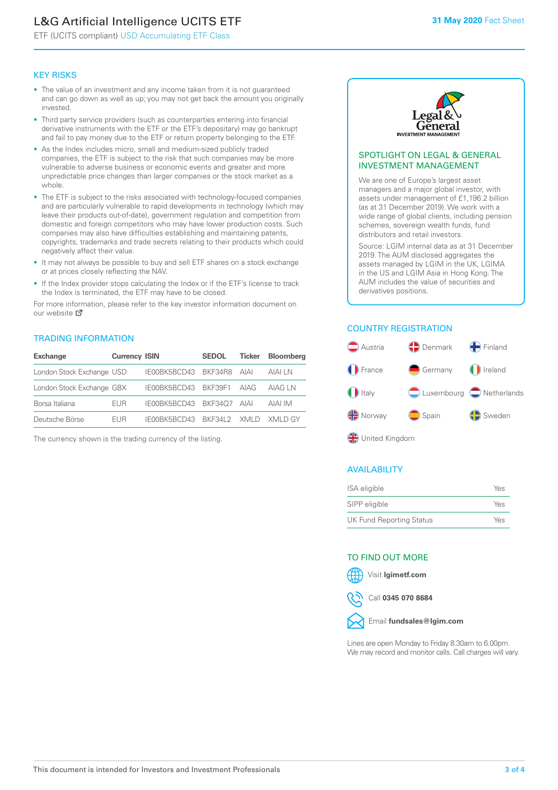# L&G Artificial Intelligence UCITS ETF

ETF (UCITS compliant) USD Accumulating ETF Class

# KEY RISKS

- The value of an investment and any income taken from it is not guaranteed and can go down as well as up; you may not get back the amount you originally invested.
- Third party service providers (such as counterparties entering into financial derivative instruments with the ETF or the ETF's depositary) may go bankrupt and fail to pay money due to the ETF or return property belonging to the ETF.
- As the Index includes micro, small and medium-sized publicly traded companies, the ETF is subject to the risk that such companies may be more vulnerable to adverse business or economic events and greater and more unpredictable price changes than larger companies or the stock market as a whole.
- The ETF is subject to the risks associated with technology-focused companies and are particularly vulnerable to rapid developments in technology (which may leave their products out-of-date), government regulation and competition from domestic and foreign competitors who may have lower production costs. Such companies may also have difficulties establishing and maintaining patents, copyrights, trademarks and trade secrets relating to their products which could negatively affect their value.
- It may not always be possible to buy and sell ETF shares on a stock exchange or at prices closely reflecting the NAV.
- If the Index provider stops calculating the Index or if the ETF's license to track the Index is terminated, the ETF may have to be closed.

For more information, please refer to the key investor information document on our website Ø

# TRADING INFORMATION

| <b>Exchange</b>           | <b>Currency ISIN</b> |                           | <b>SEDOL</b> | Ticker | <b>Bloomberg</b> |
|---------------------------|----------------------|---------------------------|--------------|--------|------------------|
| London Stock Exchange USD |                      | IE00BK5BCD43 BKF34R8 AIAI |              |        | AIAI I N         |
| London Stock Exchange GBX |                      | IE00BK5BCD43 BKF39F1 AIAG |              |        | AIAG LN          |
| Borsa Italiana            | <b>FUR</b>           | IE00BK5BCD43 BKF34O7 AIAI |              |        | AIAI IM          |
| Deutsche Börse            | <b>FUR</b>           | IFOORK5BCD43 BKF34L2 XMLD |              |        | XMI D GY         |

The currency shown is the trading currency of the listing.



### SPOTLIGHT ON LEGAL & GENERAL INVESTMENT MANAGEMENT

We are one of Europe's largest asset managers and a major global investor, with assets under management of £1,196.2 billion (as at 31 December 2019). We work with a wide range of global clients, including pension schemes, sovereign wealth funds, fund distributors and retail investors.

Source: LGIM internal data as at 31 December 2019. The AUM disclosed aggregates the assets managed by LGIM in the UK, LGIMA in the US and LGIM Asia in Hong Kong. The AUM includes the value of securities and derivatives positions.

# COUNTRY REGISTRATION



# AVAILABILITY

| ISA eligible             | Yes |
|--------------------------|-----|
| SIPP eligible            | Yes |
| UK Fund Reporting Status | Yes |

### TO FIND OUT MORE



Call **0345 070 8684**



Lines are open Monday to Friday 8.30am to 6.00pm. We may record and monitor calls. Call charges will vary.